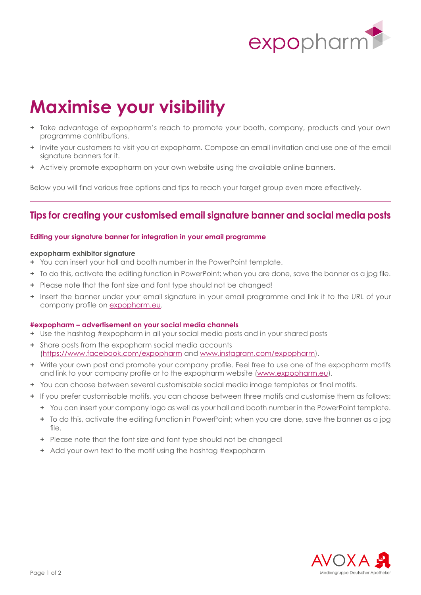

# **Maximise your visibility**

- **+** Take advantage of expopharm's reach to promote your booth, company, products and your own programme contributions.
- **+** Invite your customers to visit you at expopharm. Compose an email invitation and use one of the email signature banners for it.
- **+** Actively promote expopharm on your own website using the available online banners.

Below you will find various free options and tips to reach your target group even more effectively.

### **Tips for creating your customised email signature banner and social media posts**

#### **Editing your signature banner for integration in your email programme**

#### **expopharm exhibitor signature**

- **+** You can insert your hall and booth number in the PowerPoint template.
- **+** To do this, activate the editing function in PowerPoint; when you are done, save the banner as a jpg file.
- **+** Please note that the font size and font type should not be changed!
- **+** Insert the banner under your email signature in your email programme and link it to the URL of your company profile on [expopharm.e](http://www.expopharm.eu)u.

#### **#expopharm – advertisement on your social media channels**

- **+** Use the hashtag #expopharm in all your social media posts and in your shared posts
- **+** Share posts from the expopharm social media accounts [\(https://www.facebook.com/expopharm](https://www.facebook.com/expopharm) and<www.instagram.com/expopharm>).
- **+** Write your own post and promote your company profile. Feel free to use one of the expopharm motifs and link to your company profile or to the expopharm website ([www.expopharm.](http://www.expopharm.eu)eu).
- **+** You can choose between several customisable social media image templates or final motifs.
- **+** If you prefer customisable motifs, you can choose between three motifs and customise them as follows:
	- **+** You can insert your company logo as well as your hall and booth number in the PowerPoint template.
	- **+** To do this, activate the editing function in PowerPoint; when you are done, save the banner as a jpg  $fil \approx$
	- **+** Please note that the font size and font type should not be changed!
	- **+** Add your own text to the motif using the hashtag #expopharm